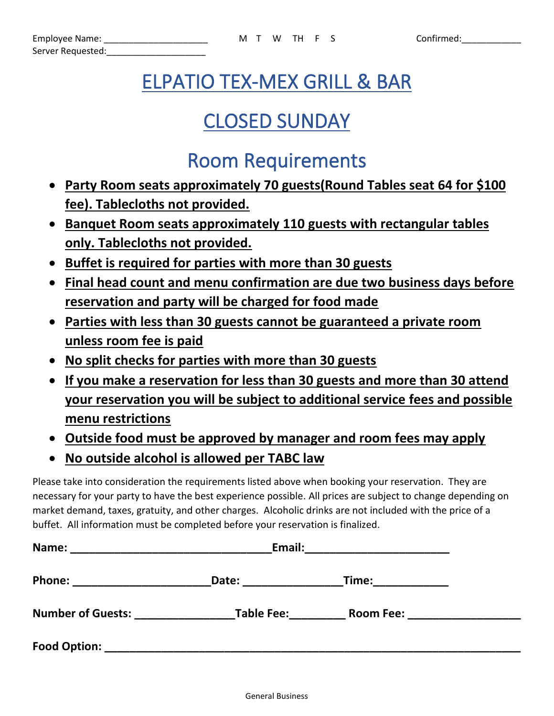# ELPATIO TEX-MEX GRILL & BAR

## CLOSED SUNDAY

## Room Requirements

- **Party Room seats approximately 70 guests(Round Tables seat 64 for \$100 fee). Tablecloths not provided.**
- **Banquet Room seats approximately 110 guests with rectangular tables only. Tablecloths not provided.**
- **Buffet is required for parties with more than 30 guests**
- **Final head count and menu confirmation are due two business days before reservation and party will be charged for food made**
- **Parties with less than 30 guests cannot be guaranteed a private room unless room fee is paid**
- **No split checks for parties with more than 30 guests**
- **If you make a reservation for less than 30 guests and more than 30 attend your reservation you will be subject to additional service fees and possible menu restrictions**
- **Outside food must be approved by manager and room fees may apply**
- **No outside alcohol is allowed per TABC law**

Please take into consideration the requirements listed above when booking your reservation. They are necessary for your party to have the best experience possible. All prices are subject to change depending on market demand, taxes, gratuity, and other charges. Alcoholic drinks are not included with the price of a buffet. All information must be completed before your reservation is finalized.

| Name:                    | Email:            |                  |  |
|--------------------------|-------------------|------------------|--|
| <b>Phone:</b>            | Date:             | Time:            |  |
| <b>Number of Guests:</b> | <b>Table Fee:</b> | <b>Room Fee:</b> |  |
| Food Option:             |                   |                  |  |